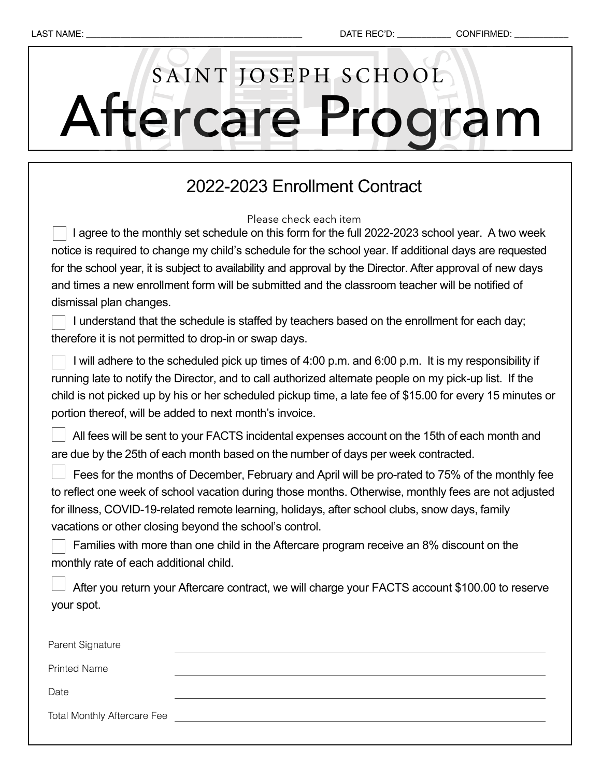# Aftercare Program SAINT JOSEPH SCHOOL

### 2022-2023 Enrollment Contract

Please check each item

I agree to the monthly set schedule on this form for the full 2022-2023 school year. A two week notice is required to change my child's schedule for the school year. If additional days are requested for the school year, it is subject to availability and approval by the Director. After approval of new days and times a new enrollment form will be submitted and the classroom teacher will be notified of dismissal plan changes.

 I understand that the schedule is staffed by teachers based on the enrollment for each day; therefore it is not permitted to drop-in or swap days.

 I will adhere to the scheduled pick up times of 4:00 p.m. and 6:00 p.m. It is my responsibility if running late to notify the Director, and to call authorized alternate people on my pick-up list. If the child is not picked up by his or her scheduled pickup time, a late fee of \$15.00 for every 15 minutes or portion thereof, will be added to next month's invoice.

 All fees will be sent to your FACTS incidental expenses account on the 15th of each month and are due by the 25th of each month based on the number of days per week contracted.

 Fees for the months of December, February and April will be pro-rated to 75% of the monthly fee to reflect one week of school vacation during those months. Otherwise, monthly fees are not adjusted for illness, COVID-19-related remote learning, holidays, after school clubs, snow days, family vacations or other closing beyond the school's control.

 Families with more than one child in the Aftercare program receive an 8% discount on the monthly rate of each additional child.

| After you return your Aftercare contract, we will charge your FACTS account \$100.00 to reserve |
|-------------------------------------------------------------------------------------------------|
| your spot.                                                                                      |

| Parent Signature                   |  |
|------------------------------------|--|
| <b>Printed Name</b>                |  |
| Date                               |  |
| <b>Total Monthly Aftercare Fee</b> |  |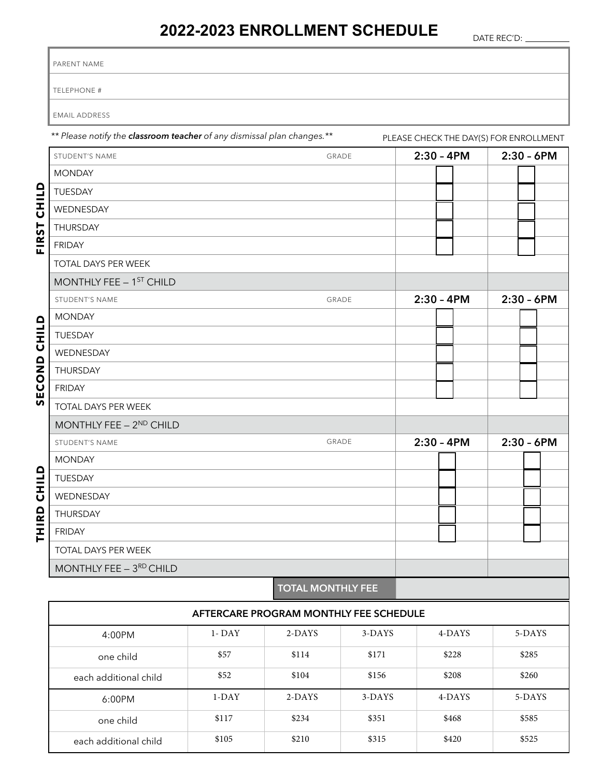### **2022-2023 ENROLLMENT SCHEDULE**

Г

DATE REC'D:

|          | PARENT NAME                                                                                                       |           |                                        |               |              |              |  |  |  |  |  |
|----------|-------------------------------------------------------------------------------------------------------------------|-----------|----------------------------------------|---------------|--------------|--------------|--|--|--|--|--|
|          | TELEPHONE #                                                                                                       |           |                                        |               |              |              |  |  |  |  |  |
|          | <b>EMAIL ADDRESS</b>                                                                                              |           |                                        |               |              |              |  |  |  |  |  |
|          | ** Please notify the classroom teacher of any dismissal plan changes.**<br>PLEASE CHECK THE DAY(S) FOR ENROLLMENT |           |                                        |               |              |              |  |  |  |  |  |
|          | STUDENT'S NAME                                                                                                    |           | GRADE                                  |               | $2:30 - 4PM$ | $2:30 - 6PM$ |  |  |  |  |  |
|          | <b>MONDAY</b>                                                                                                     |           |                                        |               |              |              |  |  |  |  |  |
|          | TUESDAY                                                                                                           |           |                                        |               |              |              |  |  |  |  |  |
| CHILD    | WEDNESDAY                                                                                                         |           |                                        |               |              |              |  |  |  |  |  |
|          | THURSDAY                                                                                                          |           |                                        |               |              |              |  |  |  |  |  |
| FIRST    | <b>FRIDAY</b>                                                                                                     |           |                                        |               |              |              |  |  |  |  |  |
|          | TOTAL DAYS PER WEEK                                                                                               |           |                                        |               |              |              |  |  |  |  |  |
|          | MONTHLY FEE - 1 <sup>ST</sup> CHILD                                                                               |           |                                        |               |              |              |  |  |  |  |  |
|          | STUDENT'S NAME                                                                                                    | GRADE     | $2:30 - 4PM$                           | $2:30 - 6$ PM |              |              |  |  |  |  |  |
|          | <b>MONDAY</b>                                                                                                     |           |                                        |               |              |              |  |  |  |  |  |
| CHILD    | TUESDAY                                                                                                           |           |                                        |               |              |              |  |  |  |  |  |
|          | WEDNESDAY                                                                                                         |           |                                        |               |              |              |  |  |  |  |  |
|          | THURSDAY                                                                                                          |           |                                        |               |              |              |  |  |  |  |  |
| ECOND    | <b>FRIDAY</b>                                                                                                     |           |                                        |               |              |              |  |  |  |  |  |
| <b>S</b> | TOTAL DAYS PER WEEK                                                                                               |           |                                        |               |              |              |  |  |  |  |  |
|          | MONTHLY FEE - 2ND CHILD                                                                                           |           |                                        |               |              |              |  |  |  |  |  |
|          | STUDENT'S NAME                                                                                                    | GRADE     | $2:30 - 4PM$                           | $2:30 - 6$ PM |              |              |  |  |  |  |  |
|          | <b>MONDAY</b>                                                                                                     |           |                                        |               |              |              |  |  |  |  |  |
| HILD     | TUESDAY                                                                                                           |           |                                        |               |              |              |  |  |  |  |  |
| ပ        | WEDNESDAY                                                                                                         |           |                                        |               |              |              |  |  |  |  |  |
|          | THURSDAY                                                                                                          |           |                                        |               |              |              |  |  |  |  |  |
| THIRD    | <b>FRIDAY</b>                                                                                                     |           |                                        |               |              |              |  |  |  |  |  |
|          | TOTAL DAYS PER WEEK                                                                                               |           |                                        |               |              |              |  |  |  |  |  |
|          | MONTHLY FEE $-3^{RD}$ CHILD                                                                                       |           |                                        |               |              |              |  |  |  |  |  |
|          |                                                                                                                   |           | <b>TOTAL MONTHLY FEE</b>               |               |              |              |  |  |  |  |  |
|          |                                                                                                                   |           | AFTERCARE PROGRAM MONTHLY FEE SCHEDULE |               |              |              |  |  |  |  |  |
|          | 4:00PM                                                                                                            | $1 - DAY$ | 2-DAYS                                 | 3-DAYS        | 4-DAYS       | 5-DAYS       |  |  |  |  |  |
|          | one child                                                                                                         | \$57      | \$114                                  | \$171         | \$228        | \$285        |  |  |  |  |  |
|          | each additional child                                                                                             | \$52      | \$104                                  | \$156         | \$208        | \$260        |  |  |  |  |  |
|          | 6:00PM                                                                                                            | $1-DAY$   | 2-DAYS                                 | $3-DAYS$      | 4-DAYS       | 5-DAYS       |  |  |  |  |  |

one child \$117 \$234 \$351 \$468 \$585

each additional child \$105 \$210 \$315 \$420 \$525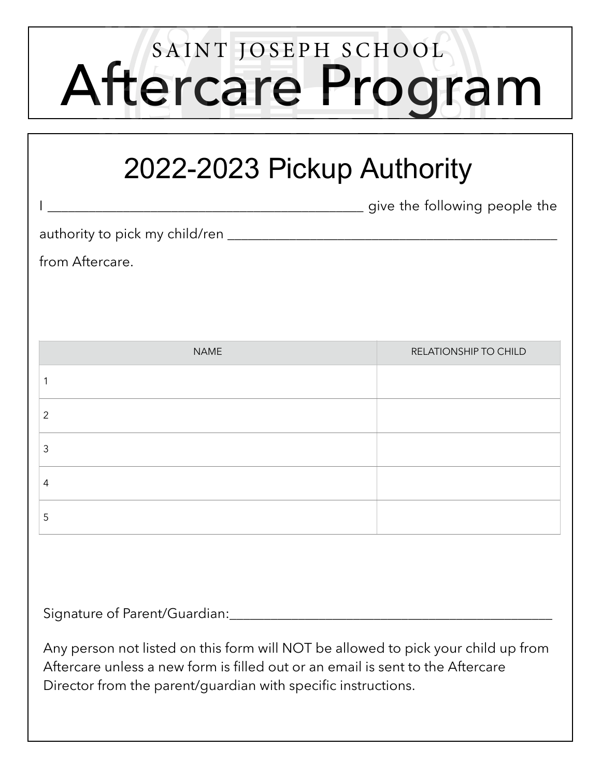## Aftercare Program SAINT JOSEPH SCHOOL

### 2022-2023 Pickup Authority

I \_\_\_\_\_\_\_\_\_\_\_\_\_\_\_\_\_\_\_\_\_\_\_\_\_\_\_\_\_\_\_\_\_\_\_\_\_\_\_\_\_\_\_\_\_\_ give the following people the

authority to pick my child/ren \_\_\_\_\_\_\_\_\_\_\_\_\_\_\_\_\_\_\_\_\_\_\_\_\_\_\_\_\_\_\_\_\_\_\_\_\_\_\_\_\_\_\_\_\_\_\_\_

from Aftercare.

| <b>NAME</b> | RELATIONSHIP TO CHILD |
|-------------|-----------------------|
|             |                       |
| 2           |                       |
| 3           |                       |
| 4           |                       |
| 5           |                       |

Signature of Parent/Guardian:

Any person not listed on this form will NOT be allowed to pick your child up from Aftercare unless a new form is filled out or an email is sent to the Aftercare Director from the parent/guardian with specific instructions.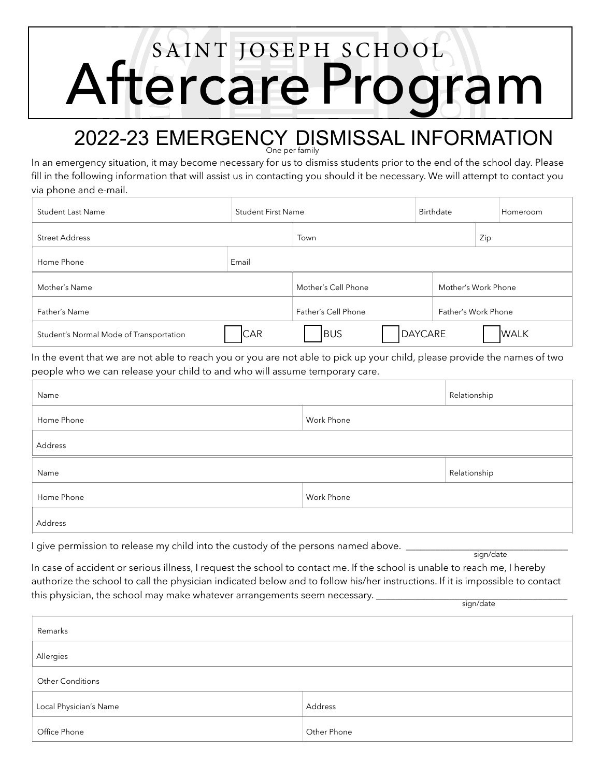## Aftercare Program SAINT JOSEPH SCHOOL

### 2022-23 EMERGENCY DISMISSAL INFORMATION

In an emergency situation, it may become necessary for us to dismiss students prior to the end of the school day. Please fill in the following information that will assist us in contacting you should it be necessary. We will attempt to contact you via phone and e-mail.

| <b>Student Last Name</b>                | <b>Student First Name</b> |                                            | Birthdate | Homeroom            |  |             |
|-----------------------------------------|---------------------------|--------------------------------------------|-----------|---------------------|--|-------------|
| Street Address                          |                           | Town                                       |           | Zip                 |  |             |
| Home Phone                              | Email                     |                                            |           |                     |  |             |
| Mother's Name                           |                           | Mother's Work Phone<br>Mother's Cell Phone |           |                     |  |             |
| Father's Name                           |                           | Father's Cell Phone                        |           | Father's Work Phone |  |             |
| Student's Normal Mode of Transportation | <b>CAR</b>                | <b>BUS</b>                                 |           | DAYCARE             |  | <b>WALK</b> |

In the event that we are not able to reach you or you are not able to pick up your child, please provide the names of two people who we can release your child to and who will assume temporary care.

| Name                     |              | Relationship |  |  |  |  |  |
|--------------------------|--------------|--------------|--|--|--|--|--|
| Home Phone               |              |              |  |  |  |  |  |
| Address                  |              |              |  |  |  |  |  |
| Name                     | Relationship |              |  |  |  |  |  |
| Work Phone<br>Home Phone |              |              |  |  |  |  |  |
| Address                  |              |              |  |  |  |  |  |

I give permission to release my child into the custody of the persons named above.

sign/date

In case of accident or serious illness, I request the school to contact me. If the school is unable to reach me, I hereby authorize the school to call the physician indicated below and to follow his/her instructions. If it is impossible to contact this physician, the school may make whatever arrangements seem necessary. sign/date

| Remarks                 |             |  |  |  |  |  |
|-------------------------|-------------|--|--|--|--|--|
| Allergies               |             |  |  |  |  |  |
| <b>Other Conditions</b> |             |  |  |  |  |  |
| Local Physician's Name  | Address     |  |  |  |  |  |
| Office Phone            | Other Phone |  |  |  |  |  |